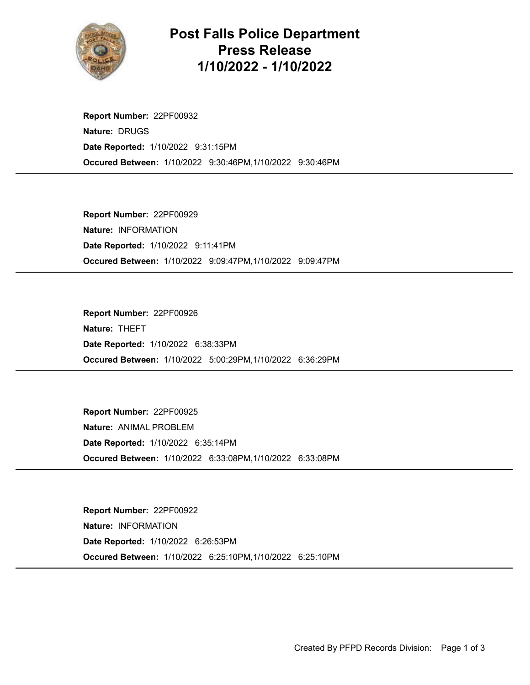

## Post Falls Police Department Press Release 1/10/2022 - 1/10/2022

Occured Between: 1/10/2022 9:30:46PM,1/10/2022 9:30:46PM Report Number: 22PF00932 Nature: DRUGS Date Reported: 1/10/2022 9:31:15PM

Occured Between: 1/10/2022 9:09:47PM,1/10/2022 9:09:47PM Report Number: 22PF00929 Nature: INFORMATION Date Reported: 1/10/2022 9:11:41PM

Occured Between: 1/10/2022 5:00:29PM,1/10/2022 6:36:29PM Report Number: 22PF00926 Nature: THEFT Date Reported: 1/10/2022 6:38:33PM

Occured Between: 1/10/2022 6:33:08PM,1/10/2022 6:33:08PM Report Number: 22PF00925 Nature: ANIMAL PROBLEM Date Reported: 1/10/2022 6:35:14PM

Occured Between: 1/10/2022 6:25:10PM,1/10/2022 6:25:10PM Report Number: 22PF00922 Nature: INFORMATION Date Reported: 1/10/2022 6:26:53PM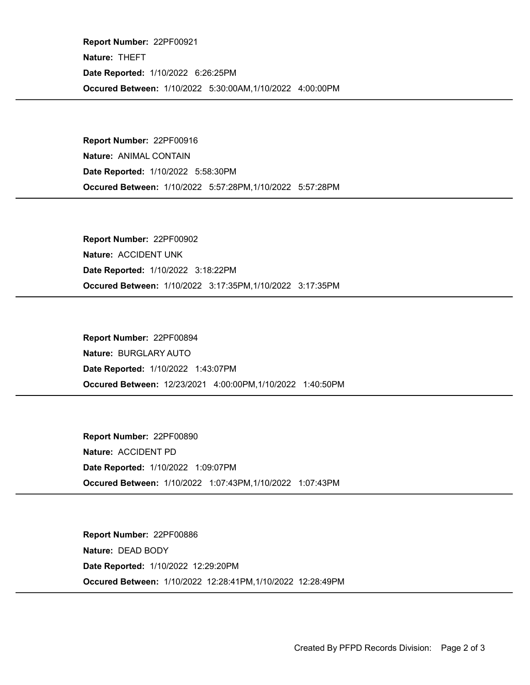Occured Between: 1/10/2022 5:30:00AM,1/10/2022 4:00:00PM Report Number: 22PF00921 Nature: THEFT Date Reported: 1/10/2022 6:26:25PM

Occured Between: 1/10/2022 5:57:28PM,1/10/2022 5:57:28PM Report Number: 22PF00916 Nature: ANIMAL CONTAIN Date Reported: 1/10/2022 5:58:30PM

Occured Between: 1/10/2022 3:17:35PM,1/10/2022 3:17:35PM Report Number: 22PF00902 Nature: ACCIDENT UNK Date Reported: 1/10/2022 3:18:22PM

Occured Between: 12/23/2021 4:00:00PM,1/10/2022 1:40:50PM Report Number: 22PF00894 Nature: BURGLARY AUTO Date Reported: 1/10/2022 1:43:07PM

Occured Between: 1/10/2022 1:07:43PM,1/10/2022 1:07:43PM Report Number: 22PF00890 Nature: ACCIDENT PD Date Reported: 1/10/2022 1:09:07PM

Occured Between: 1/10/2022 12:28:41PM,1/10/2022 12:28:49PM Report Number: 22PF00886 Nature: DEAD BODY Date Reported: 1/10/2022 12:29:20PM